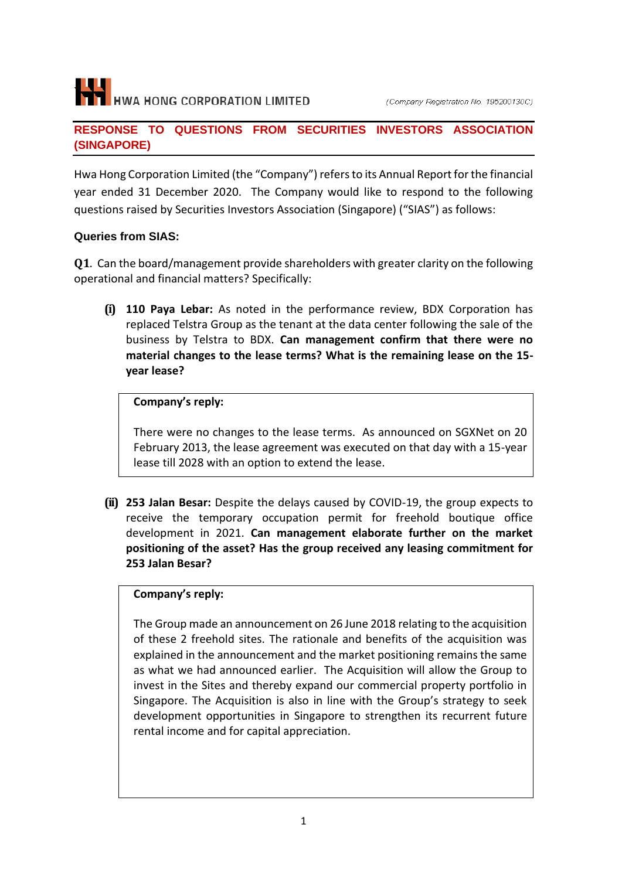# H HWA HONG CORPORATION LIMITED

#### **RESPONSE TO QUESTIONS FROM SECURITIES INVESTORS ASSOCIATION (SINGAPORE)**

Hwa Hong Corporation Limited (the "Company") refers to its Annual Report for the financial year ended 31 December 2020. The Company would like to respond to the following questions raised by Securities Investors Association (Singapore) ("SIAS") as follows:

# **Queries from SIAS:**

**Q1**. Can the board/management provide shareholders with greater clarity on the following operational and financial matters? Specifically:

**(i) 110 Paya Lebar:** As noted in the performance review, BDX Corporation has replaced Telstra Group as the tenant at the data center following the sale of the business by Telstra to BDX. **Can management confirm that there were no material changes to the lease terms? What is the remaining lease on the 15 year lease?**

# **Company's reply:**

There were no changes to the lease terms. As announced on SGXNet on 20 February 2013, the lease agreement was executed on that day with a 15-year lease till 2028 with an option to extend the lease.

**(ii) 253 Jalan Besar:** Despite the delays caused by COVID-19, the group expects to receive the temporary occupation permit for freehold boutique office development in 2021. **Can management elaborate further on the market positioning of the asset? Has the group received any leasing commitment for 253 Jalan Besar?**

#### **Company's reply:**

The Group made an announcement on 26 June 2018 relating to the acquisition of these 2 freehold sites. The rationale and benefits of the acquisition was explained in the announcement and the market positioning remains the same as what we had announced earlier. The Acquisition will allow the Group to invest in the Sites and thereby expand our commercial property portfolio in Singapore. The Acquisition is also in line with the Group's strategy to seek development opportunities in Singapore to strengthen its recurrent future rental income and for capital appreciation.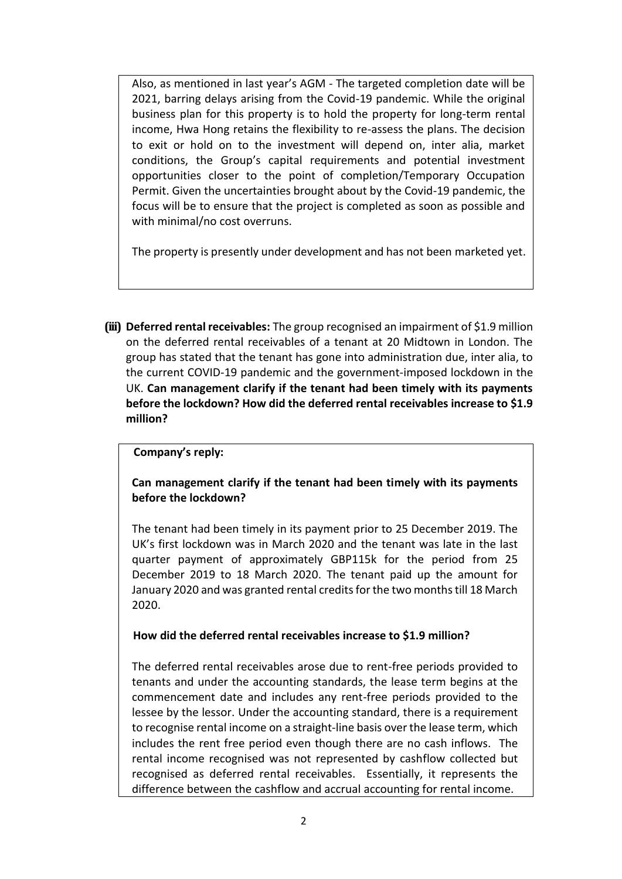Also, as mentioned in last year's AGM - The targeted completion date will be 2021, barring delays arising from the Covid-19 pandemic. While the original business plan for this property is to hold the property for long-term rental income, Hwa Hong retains the flexibility to re-assess the plans. The decision to exit or hold on to the investment will depend on, inter alia, market conditions, the Group's capital requirements and potential investment opportunities closer to the point of completion/Temporary Occupation Permit. Given the uncertainties brought about by the Covid-19 pandemic, the focus will be to ensure that the project is completed as soon as possible and with minimal/no cost overruns.

The property is presently under development and has not been marketed yet.

**(iii) Deferred rental receivables:** The group recognised an impairment of \$1.9 million on the deferred rental receivables of a tenant at 20 Midtown in London. The group has stated that the tenant has gone into administration due, inter alia, to the current COVID-19 pandemic and the government-imposed lockdown in the UK. **Can management clarify if the tenant had been timely with its payments before the lockdown? How did the deferred rental receivables increase to \$1.9 million?**

#### **Company's reply:**

#### **Can management clarify if the tenant had been timely with its payments before the lockdown?**

The tenant had been timely in its payment prior to 25 December 2019. The UK's first lockdown was in March 2020 and the tenant was late in the last quarter payment of approximately GBP115k for the period from 25 December 2019 to 18 March 2020. The tenant paid up the amount for January 2020 and was granted rental credits for the two months till 18 March 2020.

#### **How did the deferred rental receivables increase to \$1.9 million?**

The deferred rental receivables arose due to rent-free periods provided to tenants and under the accounting standards, the lease term begins at the commencement date and includes any rent-free periods provided to the lessee by the lessor. Under the accounting standard, there is a requirement to recognise rental income on a straight-line basis over the lease term, which includes the rent free period even though there are no cash inflows. The rental income recognised was not represented by cashflow collected but recognised as deferred rental receivables. Essentially, it represents the difference between the cashflow and accrual accounting for rental income.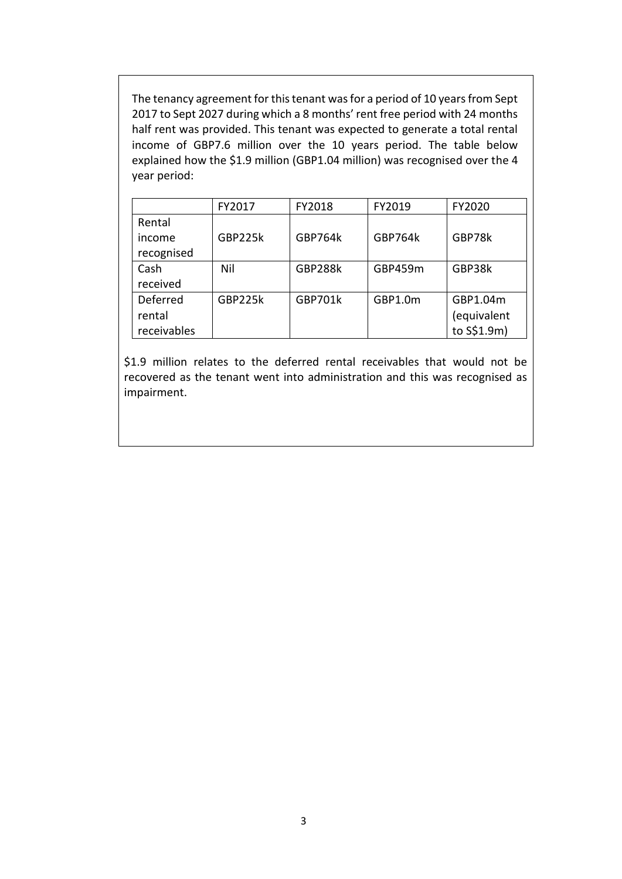The tenancy agreement for this tenant was for a period of 10 years from Sept 2017 to Sept 2027 during which a 8 months' rent free period with 24 months half rent was provided. This tenant was expected to generate a total rental income of GBP7.6 million over the 10 years period. The table below explained how the \$1.9 million (GBP1.04 million) was recognised over the 4 year period:

|             | FY2017  | FY2018         | FY2019         | FY2020      |
|-------------|---------|----------------|----------------|-------------|
| Rental      |         |                |                |             |
| income      | GBP225k | <b>GBP764k</b> | <b>GBP764k</b> | GBP78k      |
| recognised  |         |                |                |             |
| Cash        | Nil     | <b>GBP288k</b> | GBP459m        | GBP38k      |
| received    |         |                |                |             |
| Deferred    | GBP225k | <b>GBP701k</b> | GBP1.0m        | GBP1.04m    |
| rental      |         |                |                | (equivalent |
| receivables |         |                |                | to S\$1.9m) |

\$1.9 million relates to the deferred rental receivables that would not be recovered as the tenant went into administration and this was recognised as impairment.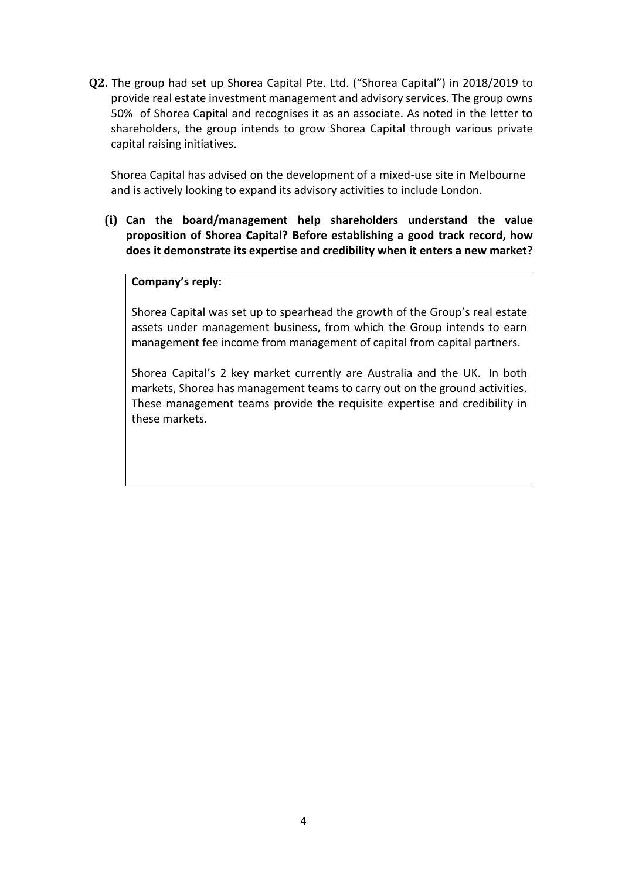**Q2.** The group had set up Shorea Capital Pte. Ltd. ("Shorea Capital") in 2018/2019 to provide real estate investment management and advisory services. The group owns 50% of Shorea Capital and recognises it as an associate. As noted in the letter to shareholders, the group intends to grow Shorea Capital through various private capital raising initiatives.

Shorea Capital has advised on the development of a mixed-use site in Melbourne and is actively looking to expand its advisory activities to include London.

**(i) Can the board/management help shareholders understand the value proposition of Shorea Capital? Before establishing a good track record, how does it demonstrate its expertise and credibility when it enters a new market?**

#### **Company's reply:**

Shorea Capital was set up to spearhead the growth of the Group's real estate assets under management business, from which the Group intends to earn management fee income from management of capital from capital partners.

Shorea Capital's 2 key market currently are Australia and the UK. In both markets, Shorea has management teams to carry out on the ground activities. These management teams provide the requisite expertise and credibility in these markets.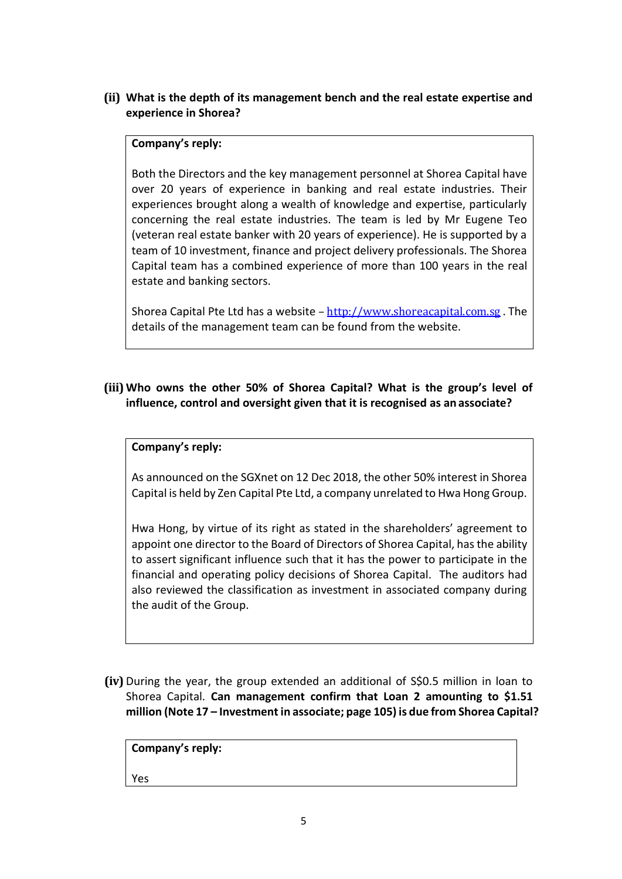**(ii) What is the depth of its management bench and the real estate expertise and experience in Shorea?**

#### **Company's reply:**

Both the Directors and the key management personnel at Shorea Capital have over 20 years of experience in banking and real estate industries. Their experiences brought along a wealth of knowledge and expertise, particularly concerning the real estate industries. The team is led by Mr Eugene Teo (veteran real estate banker with 20 years of experience). He is supported by a team of 10 investment, finance and project delivery professionals. The Shorea Capital team has a combined experience of more than 100 years in the real estate and banking sectors.

Shorea Capital Pte Ltd has a website – [http://www.shoreacapital.com.sg](about:blank) . The details of the management team can be found from the website.

**(iii) Who owns the other 50% of Shorea Capital? What is the group's level of influence, control and oversight given that it is recognised as an associate?**

#### **Company's reply:**

As announced on the SGXnet on 12 Dec 2018, the other 50% interest in Shorea Capital is held by Zen Capital Pte Ltd, a company unrelated to Hwa Hong Group.

Hwa Hong, by virtue of its right as stated in the shareholders' agreement to appoint one director to the Board of Directors of Shorea Capital, hasthe ability to assert significant influence such that it has the power to participate in the financial and operating policy decisions of Shorea Capital. The auditors had also reviewed the classification as investment in associated company during the audit of the Group.

**(iv)** During the year, the group extended an additional of S\$0.5 million in loan to Shorea Capital. **Can management confirm that Loan 2 amounting to \$1.51 million (Note 17 – Investment in associate; page 105) is due from Shorea Capital?**

**Company's reply:** Yes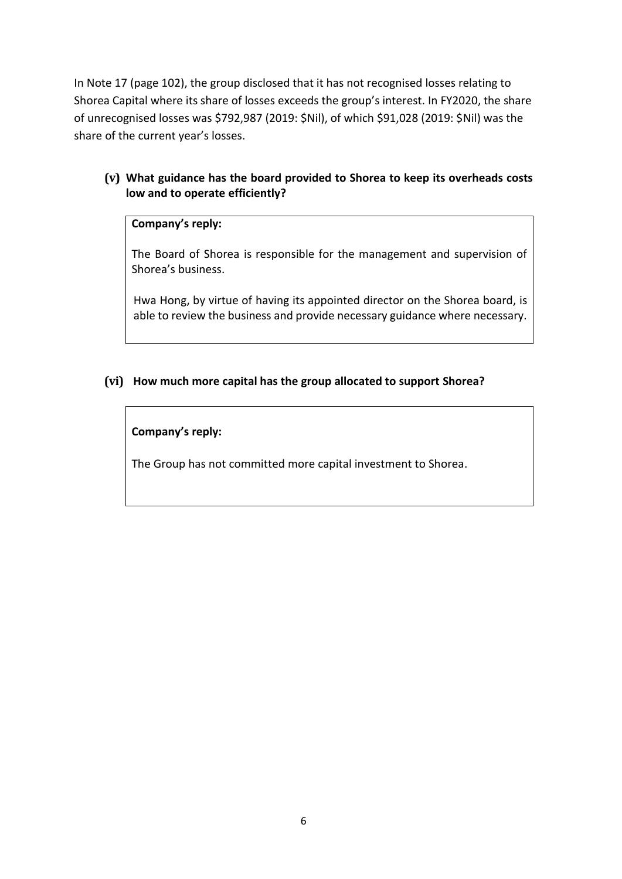In Note 17 (page 102), the group disclosed that it has not recognised losses relating to Shorea Capital where its share of losses exceeds the group's interest. In FY2020, the share of unrecognised losses was \$792,987 (2019: \$Nil), of which \$91,028 (2019: \$Nil) was the share of the current year's losses.

# **(v) What guidance has the board provided to Shorea to keep its overheads costs low and to operate efficiently?**

#### **Company's reply:**

The Board of Shorea is responsible for the management and supervision of Shorea's business.

Hwa Hong, by virtue of having its appointed director on the Shorea board, is able to review the business and provide necessary guidance where necessary.

#### **(vi) How much more capital has the group allocated to support Shorea?**

#### **Company's reply:**

The Group has not committed more capital investment to Shorea.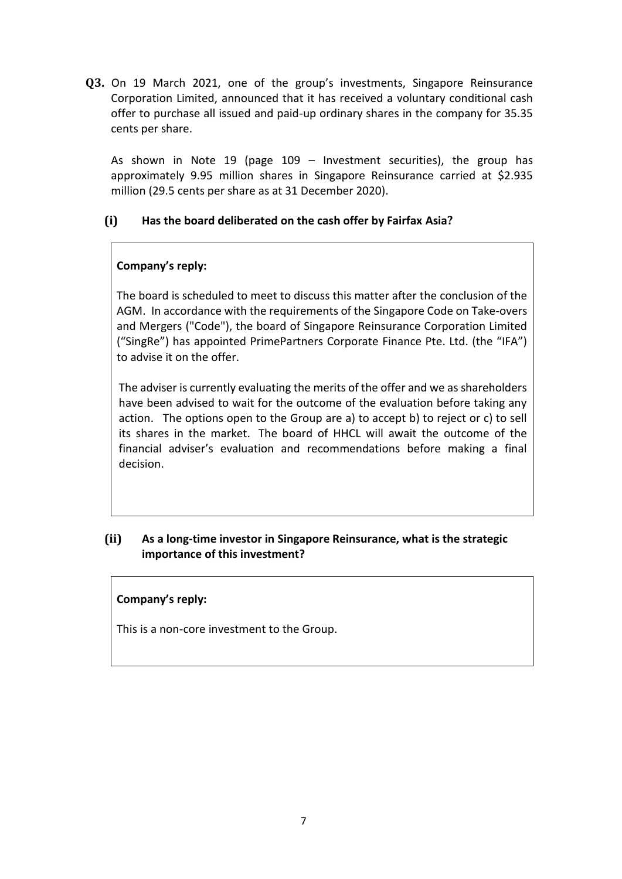**Q3.** On 19 March 2021, one of the group's investments, Singapore Reinsurance Corporation Limited, announced that it has received a voluntary conditional cash offer to purchase all issued and paid-up ordinary shares in the company for 35.35 cents per share.

As shown in Note 19 (page 109 – Investment securities), the group has approximately 9.95 million shares in Singapore Reinsurance carried at \$2.935 million (29.5 cents per share as at 31 December 2020).

#### **(i) Has the board deliberated on the cash offer by Fairfax Asia?**

# **Company's reply:**

The board is scheduled to meet to discuss this matter after the conclusion of the AGM. In accordance with the requirements of the Singapore Code on Take-overs and Mergers ("Code"), the board of Singapore Reinsurance Corporation Limited ("SingRe") has appointed PrimePartners Corporate Finance Pte. Ltd. (the "IFA") to advise it on the offer.

The adviser is currently evaluating the merits of the offer and we as shareholders have been advised to wait for the outcome of the evaluation before taking any action. The options open to the Group are a) to accept b) to reject or c) to sell its shares in the market. The board of HHCL will await the outcome of the financial adviser's evaluation and recommendations before making a final decision.

# **(ii) As a long-time investor in Singapore Reinsurance, what is the strategic importance of this investment?**

#### **Company's reply:**

This is a non-core investment to the Group.